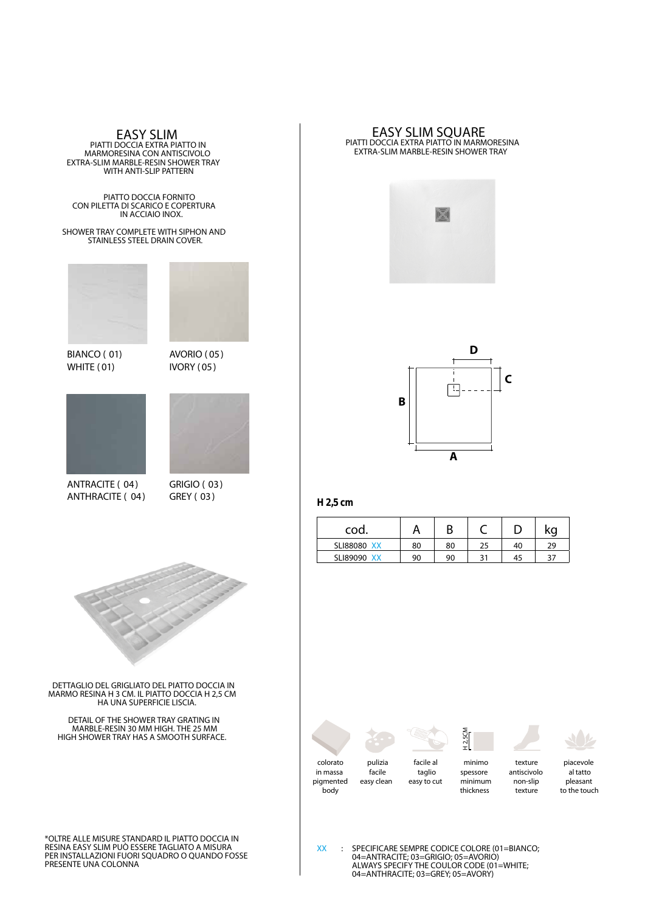**EASY SLIM** PIATTI DOCCIA EXTRA PIATTO IN MARMORESINA CON ANTISCIVOLO EXTRA-SLIM MARBLE-RESIN SHOWER TRAY WITH ANTI-SLIP PATTERN

PIATTO DOCCIA FORNITO CON PILETTA DI SCARICO E COPERTURA IN ACCIAIO INOX.

SHOWER TRAY COMPLETE WITH SIPHON AND SHOWER TRAY COMPLETE WITH SIPHON AN<br>STAINLESS STEEL DRAIN COVER.



BIANCO ( 01)

**BIANCO ( 01)** avorio ( 05) and  $\alpha$ IVORY ( 05)



WHITE (01)

**ANTRACITE ( 04) GRIGIO ( 03)** ANTHRACITE ( 04)

GRIGIO ( 03) GREY ( 03)



MARMO RESINA H 3 CM. IL PIATTO DOCCIA H 2,5 CM HA UNA SUPERFICIE LISCIA.

DETAIL OF THE SHOWER TRAY GRATING IN MARBLE-RESIN 30 MM HIGH. THE 25 MM HIGH SHOWER TRAY HAS A SMOOTH SURFACE.



**H 2,5CM**



piacevole al tatto

colorato in massa pigmented body



pulizia facile easy clean

facile al taglio easy to cut

minimo spessore minimum thickness

texture antiscivolo non-slip texture

pleasant to the touch

\*OLTRE ALLE MISURE STANDARD IL PIATTO DOCCIA IN RESINA EASY SLIM PUÒ ESSERE TAGLIATO A MISURA PER INSTALLAZIONI FUORI SQUADRO O QUANDO FOSSE PRESENTE UNA COLONNA



**EASY SLIM SQUARE** PIATTI DOCCIA EXTRA PIATTO IN MARMORESINA EXTRA-SLIM MARBLE-RESIN SHOWER TRAY



## **H 2,5 cm**

| $H2,5$ cm          |    |    |    |    |    |
|--------------------|----|----|----|----|----|
| cod.               |    | Β  |    |    | KO |
| <b>SLI88080 XX</b> | 80 | 80 | 25 | 40 | 29 |
| SLI89090 XX        | 90 | 90 | 31 | 45 | 37 |

**XX** : SPECIFICARE SEMPRE CODICE COLORE (01=BIANCO; 04=ANTRACITE; 03=GRIGIO; 05=AVORIO) ALWAYS SPECIFY THE COULOR CODE (01=WHITE; 04=ANTHRACITE; 03=GREY; 05=AVORY)